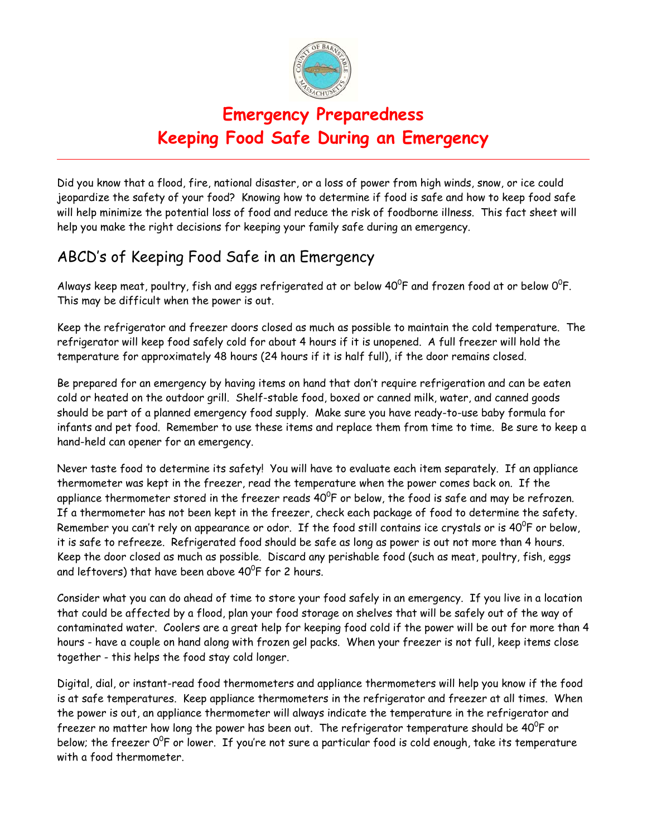

# **Emergency Preparedness Keeping Food Safe During an Emergency**

Did you know that a flood, fire, national disaster, or a loss of power from high winds, snow, or ice could jeopardize the safety of your food? Knowing how to determine if food is safe and how to keep food safe will help minimize the potential loss of food and reduce the risk of foodborne illness. This fact sheet will help you make the right decisions for keeping your family safe during an emergency.

## ABCD's of Keeping Food Safe in an Emergency

Always keep meat, poultry, fish and eggs refrigerated at or below 40 $^{\circ}$ F and frozen food at or below 0 $^{\circ}$ F. This may be difficult when the power is out.

Keep the refrigerator and freezer doors closed as much as possible to maintain the cold temperature. The refrigerator will keep food safely cold for about 4 hours if it is unopened. A full freezer will hold the temperature for approximately 48 hours (24 hours if it is half full), if the door remains closed.

Be prepared for an emergency by having items on hand that don't require refrigeration and can be eaten cold or heated on the outdoor grill. Shelf-stable food, boxed or canned milk, water, and canned goods should be part of a planned emergency food supply. Make sure you have ready-to-use baby formula for infants and pet food. Remember to use these items and replace them from time to time. Be sure to keep a hand-held can opener for an emergency.

Never taste food to determine its safety! You will have to evaluate each item separately. If an appliance thermometer was kept in the freezer, read the temperature when the power comes back on. If the appliance thermometer stored in the freezer reads  $40^0$ F or below, the food is safe and may be refrozen. If a thermometer has not been kept in the freezer, check each package of food to determine the safety. Remember you can't rely on appearance or odor. If the food still contains ice crystals or is 40 $^{\rm o}$ F or below, it is safe to refreeze. Refrigerated food should be safe as long as power is out not more than 4 hours. Keep the door closed as much as possible. Discard any perishable food (such as meat, poultry, fish, eggs and leftovers) that have been above  $40^{\circ}$ F for 2 hours.

Consider what you can do ahead of time to store your food safely in an emergency. If you live in a location that could be affected by a flood, plan your food storage on shelves that will be safely out of the way of contaminated water. Coolers are a great help for keeping food cold if the power will be out for more than 4 hours - have a couple on hand along with frozen gel packs. When your freezer is not full, keep items close together - this helps the food stay cold longer.

Digital, dial, or instant-read food thermometers and appliance thermometers will help you know if the food is at safe temperatures. Keep appliance thermometers in the refrigerator and freezer at all times. When the power is out, an appliance thermometer will always indicate the temperature in the refrigerator and freezer no matter how long the power has been out. The refrigerator temperature should be 40 $^{\mathrm{o}}$ F or below; the freezer  $0^0$ F or lower. If you're not sure a particular food is cold enough, take its temperature with a food thermometer.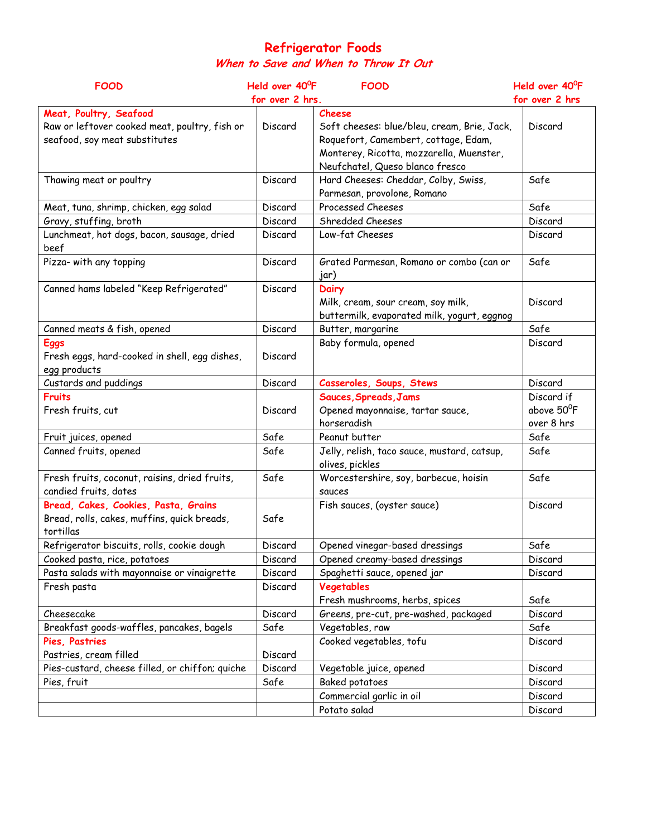#### **Refrigerator Foods When to Save and When to Throw It Out**

| <b>FOOD</b>                                                                                              | Held over 40 <sup>0</sup> F<br><b>FOOD</b> |                                                                                                                                                                              | Held over 40 <sup>o</sup> F            |
|----------------------------------------------------------------------------------------------------------|--------------------------------------------|------------------------------------------------------------------------------------------------------------------------------------------------------------------------------|----------------------------------------|
|                                                                                                          |                                            | for over 2 hrs.<br>for over 2 hrs                                                                                                                                            |                                        |
| Meat, Poultry, Seafood<br>Raw or leftover cooked meat, poultry, fish or<br>seafood, soy meat substitutes | Discard                                    | Cheese<br>Soft cheeses: blue/bleu, cream, Brie, Jack,<br>Roquefort, Camembert, cottage, Edam,<br>Monterey, Ricotta, mozzarella, Muenster,<br>Neufchatel, Queso blanco fresco | Discard                                |
| Thawing meat or poultry                                                                                  | Discard                                    | Hard Cheeses: Cheddar, Colby, Swiss,<br>Parmesan, provolone, Romano                                                                                                          | Safe                                   |
| Meat, tuna, shrimp, chicken, egg salad                                                                   | Discard                                    | Processed Cheeses                                                                                                                                                            | Safe                                   |
| Gravy, stuffing, broth                                                                                   | Discard                                    | Shredded Cheeses                                                                                                                                                             | Discard                                |
| Lunchmeat, hot dogs, bacon, sausage, dried<br>beef                                                       | Discard                                    | Low-fat Cheeses                                                                                                                                                              | Discard                                |
| Pizza- with any topping                                                                                  | Discard                                    | Grated Parmesan, Romano or combo (can or<br>jar)                                                                                                                             | Safe                                   |
| Canned hams labeled "Keep Refrigerated"                                                                  | Discard                                    | <b>Dairy</b><br>Milk, cream, sour cream, soy milk,<br>buttermilk, evaporated milk, yogurt, eggnog                                                                            | Discard                                |
| Canned meats & fish, opened                                                                              | Discard                                    | Butter, margarine                                                                                                                                                            | Safe                                   |
| <b>Eggs</b><br>Fresh eggs, hard-cooked in shell, egg dishes,<br>egg products                             | Discard                                    | Baby formula, opened                                                                                                                                                         | Discard                                |
| Custards and puddings                                                                                    | Discard                                    | Casseroles, Soups, Stews                                                                                                                                                     | Discard                                |
| <b>Fruits</b><br>Fresh fruits, cut                                                                       | Discard                                    | Sauces, Spreads, Jams<br>Opened mayonnaise, tartar sauce,<br>horseradish                                                                                                     | Discard if<br>above 50°F<br>over 8 hrs |
| Fruit juices, opened                                                                                     | Safe                                       | Peanut butter                                                                                                                                                                | Safe                                   |
| Canned fruits, opened                                                                                    | Safe                                       | Jelly, relish, taco sauce, mustard, catsup,<br>olives, pickles                                                                                                               | Safe                                   |
| Fresh fruits, coconut, raisins, dried fruits,<br>candied fruits, dates                                   | Safe                                       | Worcestershire, soy, barbecue, hoisin<br>sauces                                                                                                                              | Safe                                   |
| Bread, Cakes, Cookies, Pasta, Grains<br>Bread, rolls, cakes, muffins, quick breads,<br>tortillas         | Safe                                       | Fish sauces, (oyster sauce)                                                                                                                                                  | Discard                                |
| Refrigerator biscuits, rolls, cookie dough                                                               | Discard                                    | Opened vinegar-based dressings                                                                                                                                               | Safe                                   |
| Cooked pasta, rice, potatoes                                                                             | Discard                                    | Opened creamy-based dressings                                                                                                                                                | Discard                                |
| Pasta salads with mayonnaise or vinaigrette                                                              | Discard                                    | Spaghetti sauce, opened jar                                                                                                                                                  | Discard                                |
| Fresh pasta                                                                                              | Discard                                    | Vegetables<br>Fresh mushrooms, herbs, spices                                                                                                                                 | Safe                                   |
| Cheesecake                                                                                               | Discard                                    | Greens, pre-cut, pre-washed, packaged                                                                                                                                        | Discard                                |
| Breakfast goods-waffles, pancakes, bagels                                                                | Safe                                       | Vegetables, raw                                                                                                                                                              | Safe                                   |
| Pies, Pastries                                                                                           |                                            | Cooked vegetables, tofu                                                                                                                                                      | Discard                                |
| Pastries, cream filled                                                                                   | Discard                                    |                                                                                                                                                                              |                                        |
| Pies-custard, cheese filled, or chiffon; quiche                                                          | Discard                                    | Vegetable juice, opened                                                                                                                                                      | Discard                                |
| Pies, fruit                                                                                              | Safe                                       | Baked potatoes                                                                                                                                                               | Discard                                |
|                                                                                                          |                                            | Commercial garlic in oil                                                                                                                                                     | Discard                                |
|                                                                                                          |                                            | Potato salad                                                                                                                                                                 | Discard                                |